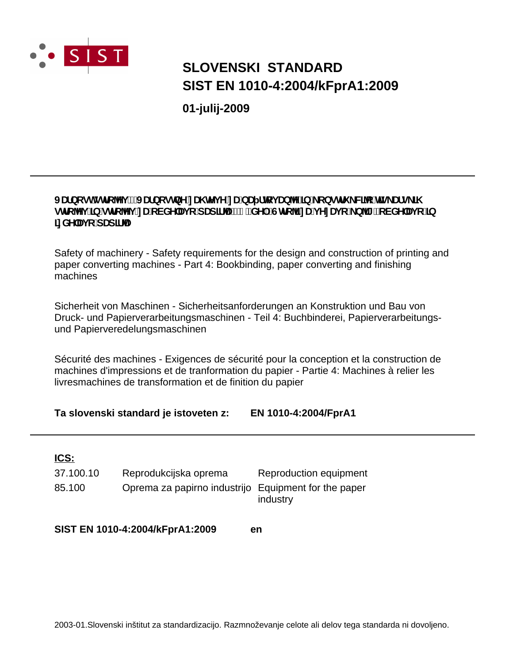

## **SIST EN 1010-4:2004/kFprA1:2009 SLOVENSKI STANDARD**

**01-julij-2009**

#### JUfbcghghc<sup>n</sup>j!JUfbcghbYnU hij YnUbU fhcjUb<sup>n</sup>"|b` cbghi Wrc'hg Ufg N glfc^j `]b`glfc^j `nUcVXYUjc`dUd]f'U!'( "XY. Glfc']`nUj YnUjc` b<sup>o</sup>ll žcVXYUjc`]b **Lackson** Controller Controller

Safety of machinery - Safety requirements for the design and construction of printing and paper converting machines - Part 4: Bookbinding, paper converting and finishing machines

Sicherheit von Maschinen - Sicherheitsanforderungen an Konstruktion und Bau von Druck- und Papierverarbeitungsmaschinen - Teil 4: Buchbinderei, Papierverarbeitungsund Papierveredelungsmaschinen

Sécurité des machines - Exigences de sécurité pour la conception et la construction de machines d'impressions et de tranformation du papier - Partie 4: Machines à relier les livresmachines de transformation et de finition du papier

**Ta slovenski standard je istoveten z: EN 1010-4:2004/FprA1**

**ICS:**

| 37.100.10 | Reprodukcijska oprema                                | Reproduction equipment |
|-----------|------------------------------------------------------|------------------------|
| 85.100    | Oprema za papirno industrijo Equipment for the paper | industry               |

**SIST EN 1010-4:2004/kFprA1:2009 en**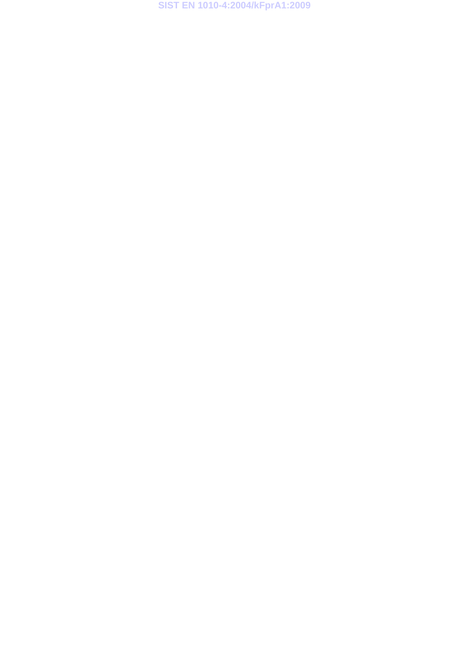**SIST EN 1010-4:2004/kFprA1:2009**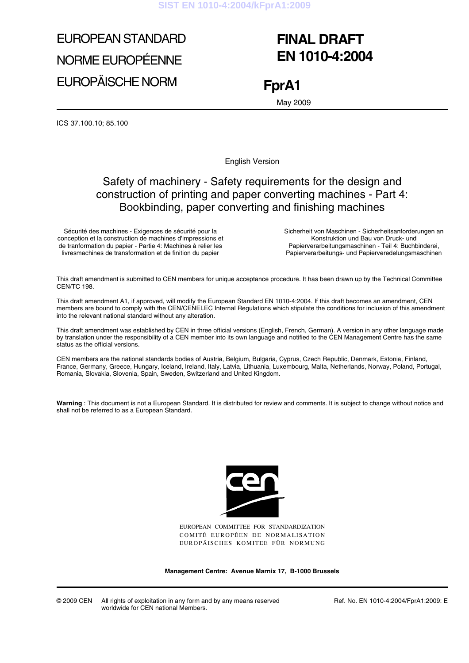#### **SIST EN 1010-4:2004/kFprA1:2009**

# EUROPEAN STANDARD NORME EUROPÉENNE EUROPÄISCHE NORM

## **FINAL DRAFT EN 1010-4:2004**

**FprA1**

May 2009

ICS 37.100.10; 85.100

English Version

## Safety of machinery - Safety requirements for the design and construction of printing and paper converting machines - Part 4: Bookbinding, paper converting and finishing machines

Sécurité des machines - Exigences de sécurité pour la conception et la construction de machines d'impressions et de tranformation du papier - Partie 4: Machines à relier les livresmachines de transformation et de finition du papier

Sicherheit von Maschinen - Sicherheitsanforderungen an Konstruktion und Bau von Druck- und Papierverarbeitungsmaschinen - Teil 4: Buchbinderei, Papierverarbeitungs- und Papierveredelungsmaschinen

This draft amendment is submitted to CEN members for unique acceptance procedure. It has been drawn up by the Technical Committee CEN/TC 198.

This draft amendment A1, if approved, will modify the European Standard EN 1010-4:2004. If this draft becomes an amendment, CEN members are bound to comply with the CEN/CENELEC Internal Regulations which stipulate the conditions for inclusion of this amendment into the relevant national standard without any alteration.

This draft amendment was established by CEN in three official versions (English, French, German). A version in any other language made by translation under the responsibility of a CEN member into its own language and notified to the CEN Management Centre has the same status as the official versions.

CEN members are the national standards bodies of Austria, Belgium, Bulgaria, Cyprus, Czech Republic, Denmark, Estonia, Finland, France, Germany, Greece, Hungary, Iceland, Ireland, Italy, Latvia, Lithuania, Luxembourg, Malta, Netherlands, Norway, Poland, Portugal, Romania, Slovakia, Slovenia, Spain, Sweden, Switzerland and United Kingdom.

**Warning** : This document is not a European Standard. It is distributed for review and comments. It is subject to change without notice and shall not be referred to as a European Standard.



EUROPEAN COMMITTEE FOR STANDARDIZATION COMITÉ EUROPÉEN DE NORMALISATION EUROPÄISCHES KOMITEE FÜR NORMUNG

**Management Centre: Avenue Marnix 17, B-1000 Brussels**

© 2009 CEN All rights of exploitation in any form and by any means reserved worldwide for CEN national Members.

Ref. No. EN 1010-4:2004/FprA1:2009: E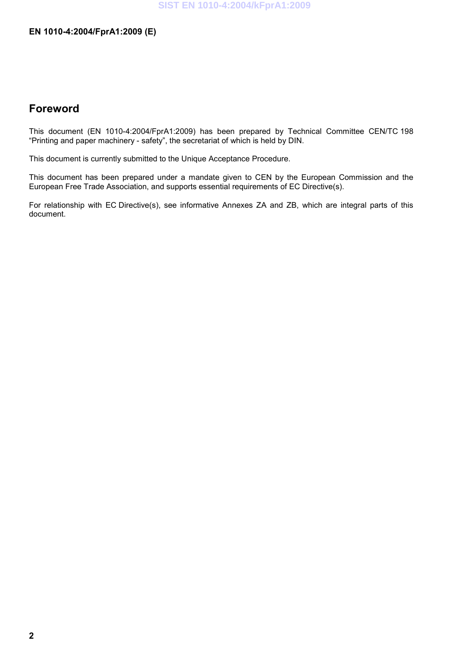#### **EN 1010-4:2004/FprA1:2009 (E)**

### **Foreword**

This document (EN 1010-4:2004/FprA1:2009) has been prepared by Technical Committee CEN/TC 198 "Printing and paper machinery - safety", the secretariat of which is held by DIN.

This document is currently submitted to the Unique Acceptance Procedure.

This document has been prepared under a mandate given to CEN by the European Commission and the European Free Trade Association, and supports essential requirements of EC Directive(s).

For relationship with EC Directive(s), see informative Annexes ZA and ZB, which are integral parts of this document.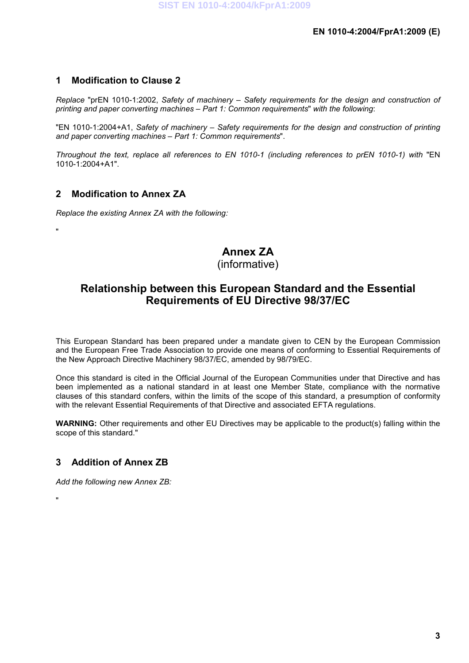#### **1 Modification to Clause 2**

*Replace* "prEN 1010-1:2002, *Safety of machinery – Safety requirements for the design and construction of printing and paper converting machines – Part 1: Common requirements*" *with the following*:

"EN 1010-1:2004+A1, *Safety of machinery – Safety requirements for the design and construction of printing and paper converting machines – Part 1: Common requirements*".

*Throughout the text, replace all references to EN 1010-1 (including references to prEN 1010-1) with* "EN 1010-1:2004+A1".

#### **2 Modification to Annex ZA**

*Replace the existing Annex ZA with the following:* 

## **Annex ZA**

(informative)

## **Relationship between this European Standard and the Essential Requirements of EU Directive 98/37/EC**

This European Standard has been prepared under a mandate given to CEN by the European Commission and the European Free Trade Association to provide one means of conforming to Essential Requirements of the New Approach Directive Machinery 98/37/EC, amended by 98/79/EC.

Once this standard is cited in the Official Journal of the European Communities under that Directive and has been implemented as a national standard in at least one Member State, compliance with the normative clauses of this standard confers, within the limits of the scope of this standard, a presumption of conformity with the relevant Essential Requirements of that Directive and associated EFTA regulations.

**WARNING:** Other requirements and other EU Directives may be applicable to the product(s) falling within the scope of this standard."

#### **3 Addition of Annex ZB**

*Add the following new Annex ZB:* 

"

"